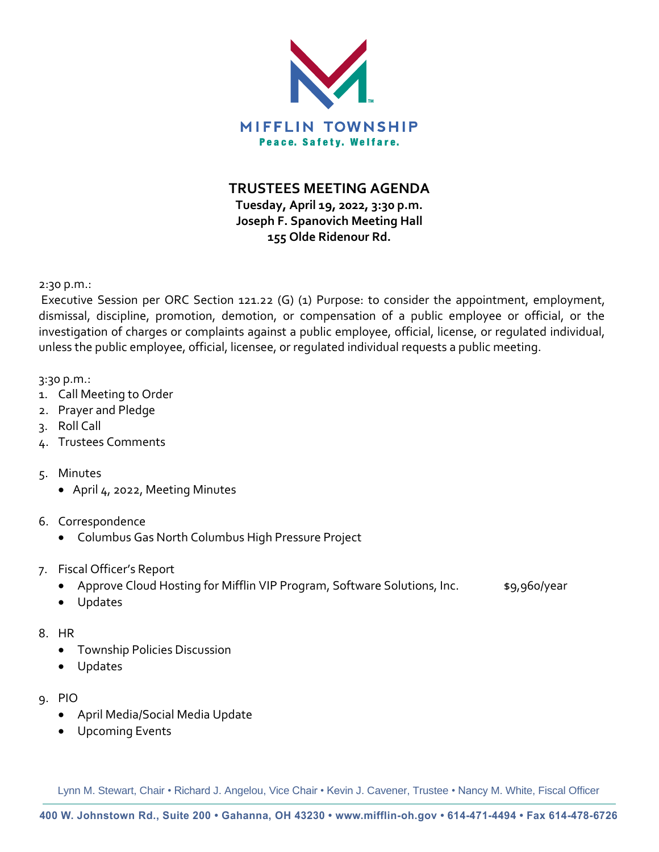

**TRUSTEES MEETING AGENDA**

**Tuesday, April 19, 2022, 3:30 p.m. Joseph F. Spanovich Meeting Hall 155 Olde Ridenour Rd.**

2:30 p.m.:

Executive Session per ORC Section 121.22 (G) (1) Purpose: to consider the appointment, employment, dismissal, discipline, promotion, demotion, or compensation of a public employee or official, or the investigation of charges or complaints against a public employee, official, license, or regulated individual, unless the public employee, official, licensee, or regulated individual requests a public meeting.

3:30 p.m.:

- 1. Call Meeting to Order
- 2. Prayer and Pledge
- 3. Roll Call
- 4. Trustees Comments
- 5. Minutes
	- April 4, 2022, Meeting Minutes
- 6. Correspondence
	- Columbus Gas North Columbus High Pressure Project
- 7. Fiscal Officer's Report
	- Approve Cloud Hosting for Mifflin VIP Program, Software Solutions, Inc.  $\bullet$  \$9,960/year
	- Updates
- 8. HR
	- Township Policies Discussion
	- Updates
- 9. PIO
	- April Media/Social Media Update
	- Upcoming Events

Lynn M. Stewart, Chair • Richard J. Angelou, Vice Chair • Kevin J. Cavener, Trustee • Nancy M. White, Fiscal Officer